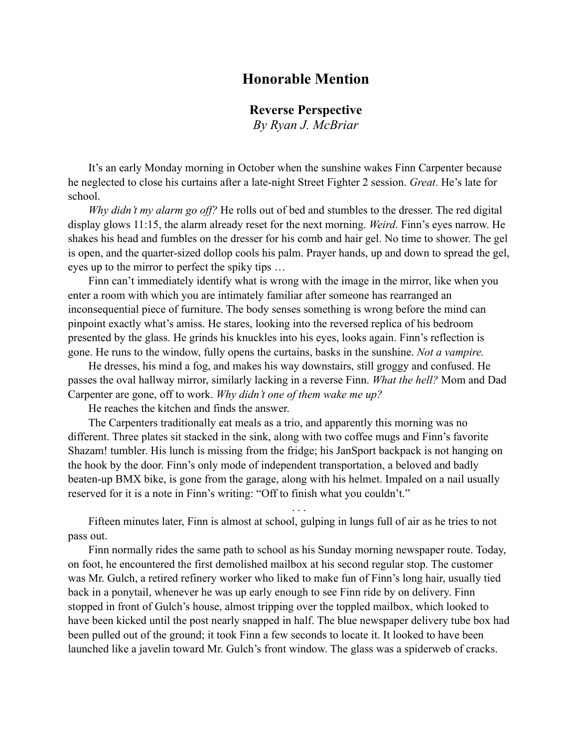## **Honorable Mention**

## **Reverse Perspective**

*By Ryan J. McBriar*

It's an early Monday morning in October when the sunshine wakes Finn Carpenter because he neglected to close his curtains after a late-night Street Fighter 2 session. *Great*. He's late for school.

*Why didn't my alarm go off?* He rolls out of bed and stumbles to the dresser. The red digital display glows 11:15, the alarm already reset for the next morning. *Weird*. Finn's eyes narrow. He shakes his head and fumbles on the dresser for his comb and hair gel. No time to shower. The gel is open, and the quarter-sized dollop cools his palm. Prayer hands, up and down to spread the gel, eyes up to the mirror to perfect the spiky tips …

Finn can't immediately identify what is wrong with the image in the mirror, like when you enter a room with which you are intimately familiar after someone has rearranged an inconsequential piece of furniture. The body senses something is wrong before the mind can pinpoint exactly what's amiss. He stares, looking into the reversed replica of his bedroom presented by the glass. He grinds his knuckles into his eyes, looks again. Finn's reflection is gone. He runs to the window, fully opens the curtains, basks in the sunshine. *Not a vampire.*

He dresses, his mind a fog, and makes his way downstairs, still groggy and confused. He passes the oval hallway mirror, similarly lacking in a reverse Finn. *What the hell?* Mom and Dad Carpenter are gone, off to work. *Why didn't one of them wake me up?*

He reaches the kitchen and finds the answer.

The Carpenters traditionally eat meals as a trio, and apparently this morning was no different. Three plates sit stacked in the sink, along with two coffee mugs and Finn's favorite Shazam! tumbler. His lunch is missing from the fridge; his JanSport backpack is not hanging on the hook by the door. Finn's only mode of independent transportation, a beloved and badly beaten-up BMX bike, is gone from the garage, along with his helmet. Impaled on a nail usually reserved for it is a note in Finn's writing: "Off to finish what you couldn't."

Fifteen minutes later, Finn is almost at school, gulping in lungs full of air as he tries to not pass out.

. . .

Finn normally rides the same path to school as his Sunday morning newspaper route. Today, on foot, he encountered the first demolished mailbox at his second regular stop. The customer was Mr. Gulch, a retired refinery worker who liked to make fun of Finn's long hair, usually tied back in a ponytail, whenever he was up early enough to see Finn ride by on delivery. Finn stopped in front of Gulch's house, almost tripping over the toppled mailbox, which looked to have been kicked until the post nearly snapped in half. The blue newspaper delivery tube box had been pulled out of the ground; it took Finn a few seconds to locate it. It looked to have been launched like a javelin toward Mr. Gulch's front window. The glass was a spiderweb of cracks.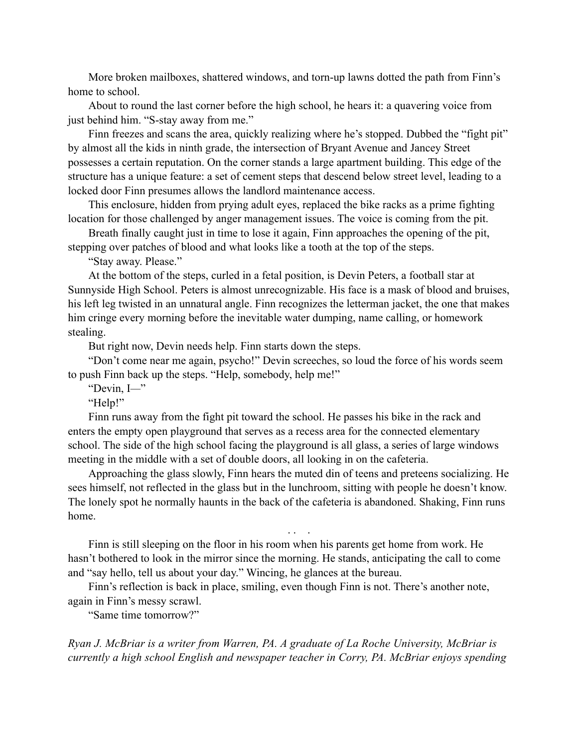More broken mailboxes, shattered windows, and torn-up lawns dotted the path from Finn's home to school.

About to round the last corner before the high school, he hears it: a quavering voice from just behind him. "S-stay away from me."

Finn freezes and scans the area, quickly realizing where he's stopped. Dubbed the "fight pit" by almost all the kids in ninth grade, the intersection of Bryant Avenue and Jancey Street possesses a certain reputation. On the corner stands a large apartment building. This edge of the structure has a unique feature: a set of cement steps that descend below street level, leading to a locked door Finn presumes allows the landlord maintenance access.

This enclosure, hidden from prying adult eyes, replaced the bike racks as a prime fighting location for those challenged by anger management issues. The voice is coming from the pit.

Breath finally caught just in time to lose it again, Finn approaches the opening of the pit, stepping over patches of blood and what looks like a tooth at the top of the steps.

"Stay away. Please."

At the bottom of the steps, curled in a fetal position, is Devin Peters, a football star at Sunnyside High School. Peters is almost unrecognizable. His face is a mask of blood and bruises, his left leg twisted in an unnatural angle. Finn recognizes the letterman jacket, the one that makes him cringe every morning before the inevitable water dumping, name calling, or homework stealing.

But right now, Devin needs help. Finn starts down the steps.

"Don't come near me again, psycho!" Devin screeches, so loud the force of his words seem to push Finn back up the steps. "Help, somebody, help me!"

"Devin, I*—*"

"Help!"

Finn runs away from the fight pit toward the school. He passes his bike in the rack and enters the empty open playground that serves as a recess area for the connected elementary school. The side of the high school facing the playground is all glass, a series of large windows meeting in the middle with a set of double doors, all looking in on the cafeteria.

Approaching the glass slowly, Finn hears the muted din of teens and preteens socializing. He sees himself, not reflected in the glass but in the lunchroom, sitting with people he doesn't know. The lonely spot he normally haunts in the back of the cafeteria is abandoned. Shaking, Finn runs home.

. . .

Finn is still sleeping on the floor in his room when his parents get home from work. He hasn't bothered to look in the mirror since the morning. He stands, anticipating the call to come and "say hello, tell us about your day." Wincing, he glances at the bureau.

Finn's reflection is back in place, smiling, even though Finn is not. There's another note, again in Finn's messy scrawl.

"Same time tomorrow?"

*Ryan J. McBriar is a writer from Warren, PA. A graduate of La Roche University, McBriar is currently a high school English and newspaper teacher in Corry, PA. McBriar enjoys spending*